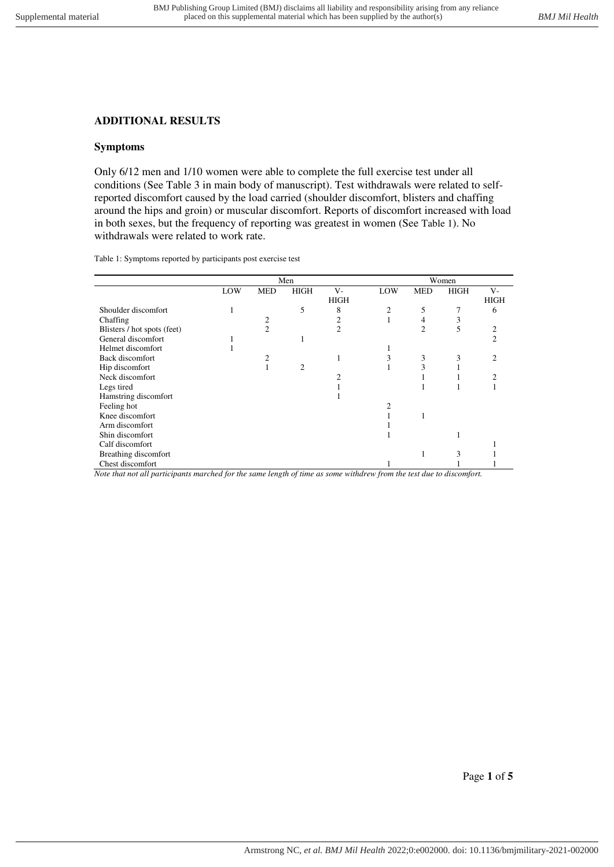## **ADDITIONAL RESULTS**

## **Symptoms**

Only 6/12 men and 1/10 women were able to complete the full exercise test under all conditions (See Table 3 in main body of manuscript). Test withdrawals were related to selfreported discomfort caused by the load carried (shoulder discomfort, blisters and chaffing around the hips and groin) or muscular discomfort. Reports of discomfort increased with load in both sexes, but the frequency of reporting was greatest in women (See [Table 1](#page-0-0)). No withdrawals were related to work rate.

<span id="page-0-0"></span>Table 1: Symptoms reported by participants post exercise test

|                             |     |                |                | Women          |                |                |             |                             |  |
|-----------------------------|-----|----------------|----------------|----------------|----------------|----------------|-------------|-----------------------------|--|
|                             | LOW | <b>MED</b>     | <b>HIGH</b>    | V-             | LOW            | <b>MED</b>     | <b>HIGH</b> | $V -$                       |  |
|                             |     |                |                | <b>HIGH</b>    |                |                |             | HIGH                        |  |
| Shoulder discomfort         | -1  |                | 5              | 8              | $\overline{c}$ | 5              |             | 6                           |  |
| Chaffing                    |     | 2              |                |                |                | 4              |             |                             |  |
| Blisters / hot spots (feet) |     | $\overline{c}$ |                | $\overline{c}$ |                | $\overline{c}$ | 5           | $\mathcal{D}$               |  |
| General discomfort          |     |                |                |                |                |                |             | 2                           |  |
| Helmet discomfort           |     |                |                |                |                |                |             |                             |  |
| Back discomfort             |     | 2              |                |                |                | 3              | 3           | $\mathcal{D}_{\mathcal{L}}$ |  |
| Hip discomfort              |     |                | $\overline{c}$ |                |                | 3              |             |                             |  |
| Neck discomfort             |     |                |                |                |                |                |             |                             |  |
| Legs tired                  |     |                |                |                |                |                |             |                             |  |
| Hamstring discomfort        |     |                |                |                |                |                |             |                             |  |
| Feeling hot                 |     |                |                |                |                |                |             |                             |  |
| Knee discomfort             |     |                |                |                |                |                |             |                             |  |
| Arm discomfort              |     |                |                |                |                |                |             |                             |  |
| Shin discomfort             |     |                |                |                |                |                |             |                             |  |
| Calf discomfort             |     |                |                |                |                |                |             |                             |  |
| Breathing discomfort        |     |                |                |                |                |                |             |                             |  |
| Chest discomfort            |     |                |                |                |                |                |             |                             |  |

*Note that not all participants marched for the same length of time as some withdrew from the test due to discomfort.* 

Page **1** of **5**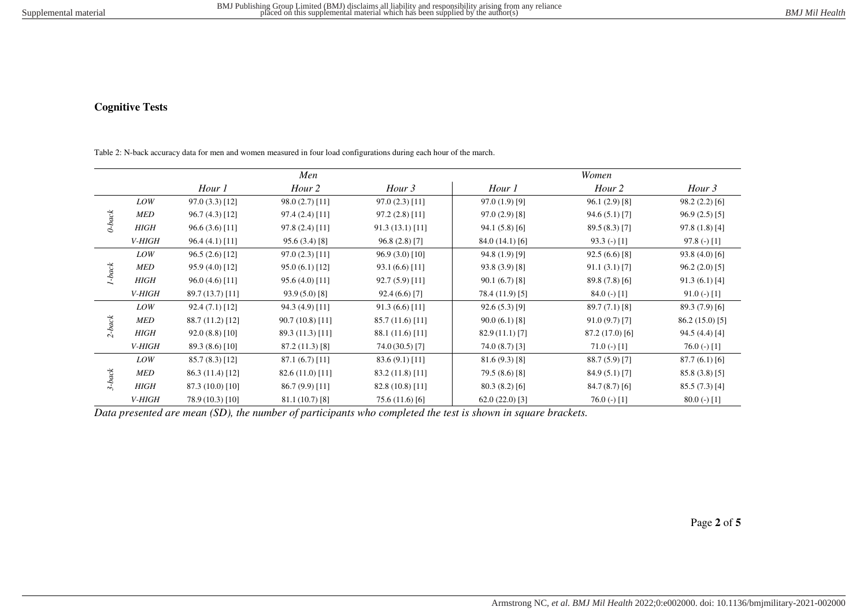## **Cognitive Tests**

Table 2: N-back accuracy data for men and women measured in four load configurations during each hour of the march.

|           |               |                  | Men              |                  |                  | Women           |                 |
|-----------|---------------|------------------|------------------|------------------|------------------|-----------------|-----------------|
|           |               | Hour 1           | Hour 2           | Hour 3           | Hour 1           | Hour 2          | Hour 3          |
|           | LOW           | $97.0(3.3)$ [12] | 98.0(2.7)[11]    | 97.0(2.3)[11]    | $97.0(1.9)$ [9]  | $96.1(2.9)$ [8] | 98.2(2.2)[6]    |
| $0$ -back | MED           | $96.7(4.3)$ [12] | 97.4(2.4)[11]    | 97.2(2.8)[11]    | $97.0(2.9)$ [8]  | 94.6(5.1)[7]    | $96.9(2.5)$ [5] |
|           | <b>HIGH</b>   | 96.6(3.6)[11]    | 97.8(2.4)[11]    | 91.3(13.1)[11]   | $94.1(5.8)$ [6]  | $89.5(8.3)$ [7] | $97.8(1.8)$ [4] |
|           | V-HIGH        | 96.4(4.1)[11]    | 95.6(3.4)[8]     | 96.8(2.8)[7]     | 84.0(14.1)[6]    | $93.3$ (-) [1]  | $97.8(-)$ [1]   |
|           | LOW           | 96.5(2.6)[12]    | $97.0(2.3)$ [11] | 96.9(3.0)[10]    | 94.8 (1.9) [9]   | 92.5(6.6)[8]    | $93.8(4.0)$ [6] |
| $1$ -back | <b>MED</b>    | 95.9 (4.0) [12]  | $95.0(6.1)$ [12] | $93.1(6.6)$ [11] | $93.8(3.9)$ [8]  | 91.1(3.1)[7]    | $96.2(2.0)$ [5] |
|           | <b>HIGH</b>   | 96.0(4.6)[11]    | $95.6(4.0)$ [11] | $92.7(5.9)$ [11] | $90.1(6.7)$ [8]  | 89.8(7.8)[6]    | $91.3(6.1)$ [4] |
|           | V-HIGH        | 89.7 (13.7) [11] | $93.9(5.0)$ [8]  | $92.4(6.6)$ [7]  | 78.4 (11.9) [5]  | $84.0(-)$ [1]   | $91.0(-)$ [1]   |
|           | LOW           | 92.4(7.1)[12]    | $94.3(4.9)$ [11] | 91.3(6.6)[11]    | 92.6(5.3)[9]     | 89.7(7.1)[8]    | 89.3(7.9)[6]    |
| $2$ -back | MED           | 88.7 (11.2) [12] | 90.7(10.8)[11]   | 85.7(11.6)[11]   | 90.0(6.1)[8]     | 91.0(9.7)[7]    | 86.2(15.0)[5]   |
|           | <b>HIGH</b>   | $92.0(8.8)$ [10] | 89.3 (11.3) [11] | 88.1 (11.6) [11] | $82.9(11.1)$ [7] | 87.2(17.0)[6]   | 94.5(4.4)[4]    |
|           | V-HIGH        | 89.3(8.6)[10]    | 87.2 (11.3) [8]  | 74.0 (30.5) [7]  | 74.0(8.7)[3]     | $71.0(-)$ [1]   | $76.0$ (-) [1]  |
|           | LOW           | $85.7(8.3)$ [12] | 87.1(6.7)[11]    | 83.6(9.1)[11]    | 81.6(9.3)[8]     | $88.7(5.9)$ [7] | $87.7(6.1)$ [6] |
| $3$ -back | MED           | 86.3(11.4)[12]   | 82.6(11.0)[11]   | 83.2(11.8)[11]   | 79.5 (8.6) [8]   | 84.9(5.1)[7]    | 85.8(3.8)[5]    |
|           | <b>HIGH</b>   | 87.3(10.0)[10]   | $86.7(9.9)$ [11] | 82.8(10.8)[11]   | 80.3(8.2)[6]     | $84.7(8.7)$ [6] | 85.5(7.3)[4]    |
|           | <i>V-HIGH</i> | 78.9 (10.3) [10] | $81.1(10.7)$ [8] | 75.6 (11.6) [6]  | $62.0(22.0)$ [3] | $76.0$ (-) [1]  | $80.0(-)$ [1]   |

*Data presented are mean (SD), the number of participants who completed the test is shown in square brackets.*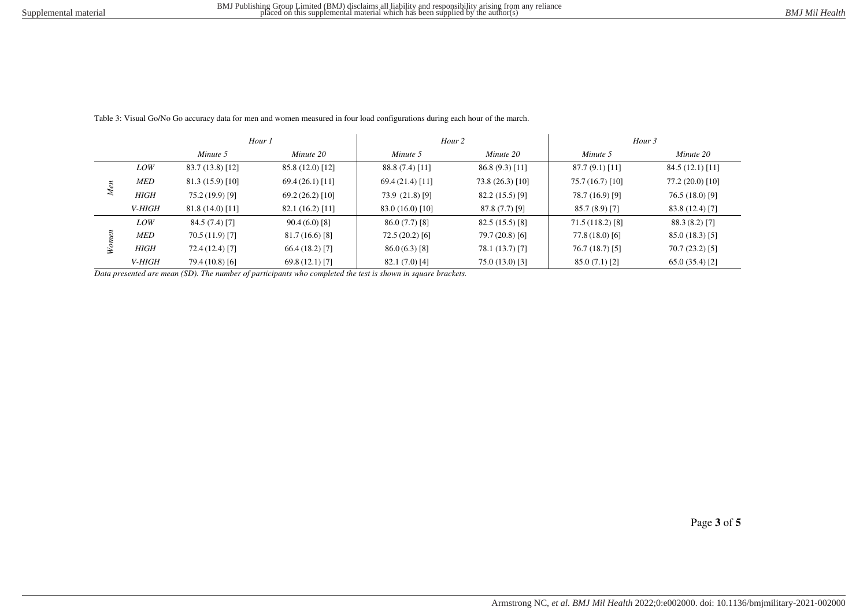|             |             | Hour 1           |                  | Hour 2          |                  | Hour 3            |                  |  |
|-------------|-------------|------------------|------------------|-----------------|------------------|-------------------|------------------|--|
|             |             | Minute 5         | Minute 20        | Minute 5        | Minute 20        | Minute 5          | Minute 20        |  |
|             | LOW         | 83.7(13.8)[12]   | 85.8 (12.0) [12] | 88.8(7.4)[11]   | 86.8(9.3)[11]    | 87.7(9.1)[11]     | 84.5(12.1)[11]   |  |
|             | <b>MED</b>  | 81.3(15.9)[10]   | 69.4(26.1)[11]   | 69.4(21.4)[11]  | 73.8 (26.3) [10] | 75.7(16.7)[10]    | 77.2 (20.0) [10] |  |
| Men         | <b>HIGH</b> | 75.2 (19.9) [9]  | 69.2(26.2)[10]   | 73.9 (21.8) [9] | 82.2(15.5)[9]    | 78.7 (16.9) [9]   | 76.5 (18.0) [9]  |  |
|             | V-HIGH      | 81.8(14.0)[11]   | 82.1(16.2)[11]   | 83.0(16.0)[10]  | 87.8(7.7)[9]     | $85.7(8.9)$ [7]   | 83.8 (12.4) [7]  |  |
|             | LOW         | 84.5(7.4)[7]     | $90.4(6.0)$ [8]  | 86.0(7.7)[8]    | 82.5(15.5)[8]    | $71.5(118.2)$ [8] | 88.3 (8.2) [7]   |  |
| $\tilde{e}$ | <b>MED</b>  | $70.5(11.9)$ [7] | 81.7(16.6)[8]    | 72.5(20.2)[6]   | $79.7(20.8)$ [6] | $77.8(18.0)$ [6]  | 85.0(18.3)[5]    |  |
|             | <b>HIGH</b> | 72.4 (12.4) [7]  | $66.4(18.2)$ [7] | 86.0(6.3)[8]    | 78.1 (13.7) [7]  | 76.7(18.7)[5]     | $70.7(23.2)$ [5] |  |
|             | V-HIGH      | $79.4(10.8)$ [6] | 69.8(12.1)[7]    | 82.1(7.0)[4]    | 75.0 (13.0) [3]  | 85.0(7.1)[2]      | 65.0(35.4)[2]    |  |

Table 3: Visual Go/No Go accuracy data for men and women measured in four load configurations during each hour of the march.

*Data presented are mean (SD). The number of participants who completed the test is shown in square brackets.* 

Page **3** of **5**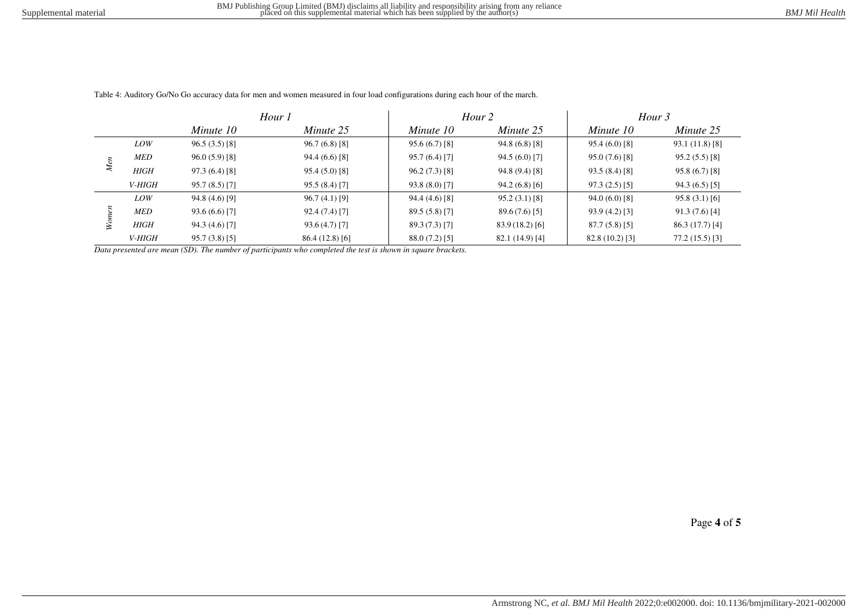|                       |               |                 | Hour 1           |                 | Hour 2           | Hour 3          |                  |  |
|-----------------------|---------------|-----------------|------------------|-----------------|------------------|-----------------|------------------|--|
|                       |               | Minute 10       | Minute 25        | Minute 10       | Minute 25        | Minute 10       | Minute 25        |  |
|                       | LOW           | 96.5(3.5)[8]    | $96.7(6.8)$ [8]  | 95.6(6.7)[8]    | $94.8(6.8)$ [8]  | $95.4(6.0)$ [8] | $93.1(11.8)$ [8] |  |
| Men                   | MED           | 96.0(5.9)[8]    | 94.4(6.6)[8]     | 95.7(6.4)[7]    | $94.5(6.0)$ [7]  | 95.0(7.6)[8]    | 95.2(5.5)[8]     |  |
|                       | <b>HIGH</b>   | 97.3(6.4)[8]    | 95.4(5.0)[8]     | 96.2(7.3)[8]    | 94.8(9.4)[8]     | 93.5(8.4)[8]    | 95.8(6.7)[8]     |  |
|                       | <i>V-HIGH</i> | 95.7(8.5)[7]    | 95.5(8.4)[7]     | 93.8(8.0)[7]    | $94.2(6.8)$ [6]  | 97.3(2.5)[5]    | 94.3(6.5)[5]     |  |
|                       | LOW           | $94.8(4.6)$ [9] | $96.7(4.1)$ [9]  | 94.4(4.6)[8]    | $95.2(3.1)$ [8]  | 94.0(6.0)[8]    | 95.8(3.1)[6]     |  |
| $\tilde{\varepsilon}$ | <b>MED</b>    | 93.6(6.6)[7]    | 92.4(7.4)[7]     | $89.5(5.8)$ [7] | 89.6(7.6)[5]     | $93.9(4.2)$ [3] | 91.3(7.6)[4]     |  |
|                       | <b>HIGH</b>   | $94.3(4.6)$ [7] | $93.6(4.7)$ [7]  | 89.3 (7.3) [7]  | 83.9(18.2)[6]    | $87.7(5.8)$ [5] | 86.3(17.7)[4]    |  |
|                       | <i>V-HIGH</i> | $95.7(3.8)$ [5] | $86.4(12.8)$ [6] | 88.0(7.2)[5]    | $82.1(14.9)$ [4] | 82.8(10.2)[3]   | 77.2(15.5)[3]    |  |

Table 4: Auditory Go/No Go accuracy data for men and women measured in four load configurations during each hour of the march.

*Data presented are mean (SD). The number of participants who completed the test is shown in square brackets.* 

Page **4** of **5**